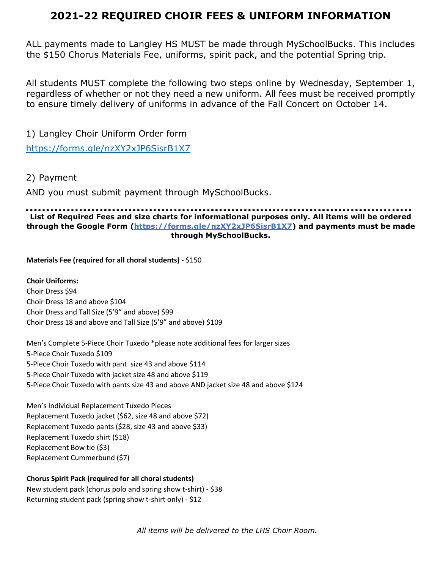## **2021-22 REQUIRED CHOIR FEES & UNIFORM INFORMATION**

ALL payments made to Langley HS MUST be made through MySchoolBucks. This includes the \$150 Chorus Materials Fee, uniforms, spirit pack, and the potential Spring trip.

All students MUST complete the following two steps online by Wednesday, September 1, regardless of whether or not they need a new uniform. All fees must be received promptly to ensure timely delivery of uniforms in advance of the Fall Concert on October 14.

1) Langley Choir Uniform Order form <https://forms.gle/nzXY2xJP6SisrB1X7>

2) Payment

AND you must submit payment through MySchoolBucks.

## $\mathbf{r}$ **List of Required Fees and size charts for informational purposes only. All items will be ordered through the Google Form (https://forms.gle/nzXY2xJP6SisrB1X7) and payments must be made through MySchoolBucks.**

**Materials Fee (required for all choral students)** - \$150

**Choir Uniforms:**  Choir Dress \$94 Choir Dress 18 and above \$104 Choir Dress and Tall Size (5'9" and above) \$99 Choir Dress 18 and above and Tall Size (5'9" and above) \$109

Men's Complete 5-Piece Choir Tuxedo \*please note additional fees for larger sizes 5-Piece Choir Tuxedo \$109 5-Piece Choir Tuxedo with pant size 43 and above \$114 5-Piece Choir Tuxedo with jacket size 48 and above \$119 5-Piece Choir Tuxedo with pants size 43 and above AND jacket size 48 and above \$124

Men's Individual Replacement Tuxedo Pieces Replacement Tuxedo jacket (\$62, size 48 and above \$72) Replacement Tuxedo pants (\$28, size 43 and above \$33) Replacement Tuxedo shirt (\$18) Replacement Bow tie (\$3) Replacement Cummerbund (\$7)

## **Chorus Spirit Pack (required for all choral students)**

New student pack (chorus polo and spring show t-shirt) - \$38 Returning student pack (spring show t-shirt only) - \$12